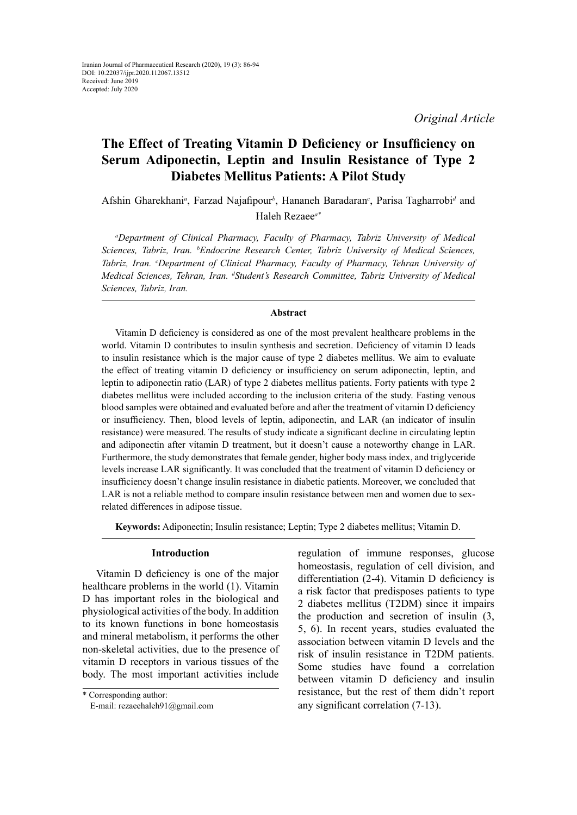# **The Effect of Treating Vitamin D Deficiency or Insufficiency on Serum Adiponectin, Leptin and Insulin Resistance of Type 2 Diabetes Mellitus Patients: A Pilot Study**

Afshin Gharekhani<sup>a</sup>, Farzad Najafipour<sup>b</sup>, Hananeh Baradaran<sup>c</sup>, Parisa Tagharrobi<sup>d</sup> and Haleh Rezaee*a\**

*a Department of Clinical Pharmacy, Faculty of Pharmacy, Tabriz University of Medical Sciences, Tabriz, Iran. b Endocrine Research Center, Tabriz University of Medical Sciences,*  Tabriz, Iran. <sup>c</sup>Department of Clinical Pharmacy, Faculty of Pharmacy, Tehran University of *Medical Sciences, Tehran, Iran. d Student's Research Committee, Tabriz University of Medical Sciences, Tabriz, Iran.*

# **Abstract**

Vitamin D deficiency is considered as one of the most prevalent healthcare problems in the world. Vitamin D contributes to insulin synthesis and secretion. Deficiency of vitamin D leads to insulin resistance which is the major cause of type 2 diabetes mellitus. We aim to evaluate the effect of treating vitamin D deficiency or insufficiency on serum adiponectin, leptin, and leptin to adiponectin ratio (LAR) of type 2 diabetes mellitus patients. Forty patients with type 2 diabetes mellitus were included according to the inclusion criteria of the study. Fasting venous blood samples were obtained and evaluated before and after the treatment of vitamin D deficiency or insufficiency. Then, blood levels of leptin, adiponectin, and LAR (an indicator of insulin resistance) were measured. The results of study indicate a significant decline in circulating leptin and adiponectin after vitamin D treatment, but it doesn't cause a noteworthy change in LAR. Furthermore, the study demonstrates that female gender, higher body mass index, and triglyceride levels increase LAR significantly. It was concluded that the treatment of vitamin D deficiency or insufficiency doesn't change insulin resistance in diabetic patients. Moreover, we concluded that LAR is not a reliable method to compare insulin resistance between men and women due to sexrelated differences in adipose tissue.

**Keywords:** Adiponectin; Insulin resistance; Leptin; Type 2 diabetes mellitus; Vitamin D.

# **Introduction**

Vitamin D deficiency is one of the major healthcare problems in the world (1). Vitamin D has important roles in the biological and physiological activities of the body. In addition to its known functions in bone homeostasis and mineral metabolism, it performs the other non-skeletal activities, due to the presence of vitamin D receptors in various tissues of the body. The most important activities include

\* Corresponding author: E-mail: rezaeehaleh91@gmail.com regulation of immune responses, glucose homeostasis, regulation of cell division, and differentiation (2-4). Vitamin D deficiency is a risk factor that predisposes patients to type 2 diabetes mellitus (T2DM) since it impairs the production and secretion of insulin (3, 5, 6). In recent years, studies evaluated the association between vitamin D levels and the risk of insulin resistance in T2DM patients. Some studies have found a correlation between vitamin D deficiency and insulin resistance, but the rest of them didn't report any significant correlation (7-13).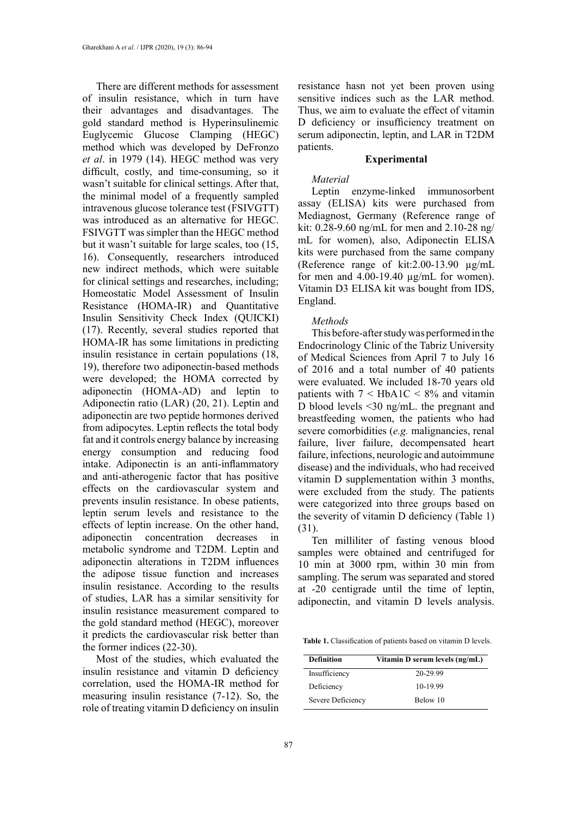There are different methods for assessment of insulin resistance, which in turn have their advantages and disadvantages. The gold standard method is Hyperinsulinemic Euglycemic Glucose Clamping (HEGC) method which was developed by DeFronzo *et al*. in 1979 (14). HEGC method was very difficult, costly, and time-consuming, so it wasn't suitable for clinical settings. After that, the minimal model of a frequently sampled intravenous glucose tolerance test (FSIVGTT) was introduced as an alternative for HEGC. FSIVGTT was simpler than the HEGC method but it wasn't suitable for large scales, too (15, 16). Consequently, researchers introduced new indirect methods, which were suitable for clinical settings and researches, including; Homeostatic Model Assessment of Insulin Resistance (HOMA-IR) and Quantitative Insulin Sensitivity Check Index (QUICKI) (17). Recently, several studies reported that HOMA-IR has some limitations in predicting insulin resistance in certain populations (18, 19), therefore two adiponectin-based methods were developed; the HOMA corrected by adiponectin (HOMA-AD) and leptin to Adiponectin ratio (LAR) (20, 21). Leptin and adiponectin are two peptide hormones derived from adipocytes. Leptin reflects the total body fat and it controls energy balance by increasing energy consumption and reducing food intake. Adiponectin is an anti-inflammatory and anti-atherogenic factor that has positive effects on the cardiovascular system and prevents insulin resistance. In obese patients, leptin serum levels and resistance to the effects of leptin increase. On the other hand, adiponectin concentration decreases in metabolic syndrome and T2DM. Leptin and adiponectin alterations in T2DM influences the adipose tissue function and increases insulin resistance. According to the results of studies, LAR has a similar sensitivity for insulin resistance measurement compared to the gold standard method (HEGC), moreover it predicts the cardiovascular risk better than the former indices (22-30).

Most of the studies, which evaluated the insulin resistance and vitamin D deficiency correlation, used the HOMA-IR method for measuring insulin resistance (7-12). So, the role of treating vitamin D deficiency on insulin

resistance hasn not yet been proven using sensitive indices such as the LAR method. Thus, we aim to evaluate the effect of vitamin D deficiency or insufficiency treatment on serum adiponectin, leptin, and LAR in T2DM patients.

#### **Experimental**

### *Material*

Leptin enzyme-linked immunosorbent assay (ELISA) kits were purchased from Mediagnost, Germany (Reference range of kit: 0.28-9.60 ng/mL for men and 2.10-28 ng/ mL for women), also, Adiponectin ELISA kits were purchased from the same company (Reference range of kit:2.00-13.90 µg/mL for men and  $4.00-19.40 \mu$ g/mL for women). Vitamin D3 ELISA kit was bought from IDS, England.

#### *Methods*

This before-after study was performed in the Endocrinology Clinic of the Tabriz University of Medical Sciences from April 7 to July 16 of 2016 and a total number of 40 patients were evaluated. We included 18-70 years old patients with  $7 < HbA1C < 8%$  and vitamin D blood levels <30 ng/mL. the pregnant and breastfeeding women, the patients who had severe comorbidities (*e.g.* malignancies, renal failure, liver failure, decompensated heart failure, infections, neurologic and autoimmune disease) and the individuals, who had received vitamin D supplementation within 3 months, were excluded from the study. The patients were categorized into three groups based on the severity of vitamin D deficiency (Table 1) (31).

Ten milliliter of fasting venous blood samples were obtained and centrifuged for 10 min at 3000 rpm, within 30 min from sampling. The serum was separated and stored at -20 centigrade until the time of leptin, adiponectin, and vitamin D levels analysis.

**Table 1.** Classification of patients based on vitamin D levels. **Table 1.** Classification of patients based on vitamin D levels.

| <b>Definition</b> | Vitamin D serum levels (ng/mL) |  |  |
|-------------------|--------------------------------|--|--|
| Insufficiency     | 20-29.99                       |  |  |
| Deficiency        | 10-19.99                       |  |  |
| Severe Deficiency | Below 10                       |  |  |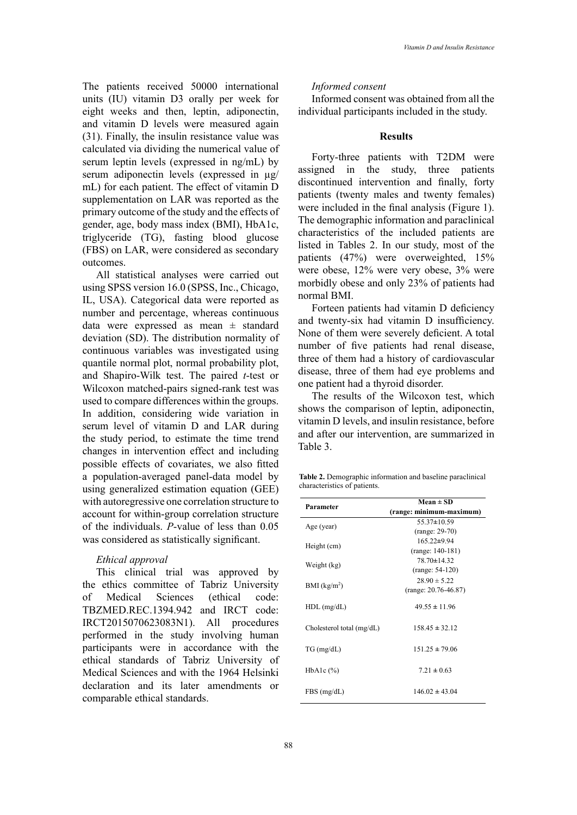The patients received 50000 international units (IU) vitamin D3 orally per week for eight weeks and then, leptin, adiponectin, and vitamin D levels were measured again (31). Finally, the insulin resistance value was calculated via dividing the numerical value of serum leptin levels (expressed in ng/mL) by serum adiponectin levels (expressed in µg/ mL) for each patient. The effect of vitamin D supplementation on LAR was reported as the primary outcome of the study and the effects of gender, age, body mass index (BMI), HbA1c, triglyceride (TG), fasting blood glucose (FBS) on LAR, were considered as secondary outcomes.

All statistical analyses were carried out using SPSS version 16.0 (SPSS, Inc., Chicago, IL, USA). Categorical data were reported as number and percentage, whereas continuous data were expressed as mean  $\pm$  standard deviation (SD). The distribution normality of continuous variables was investigated using quantile normal plot, normal probability plot, and Shapiro-Wilk test. The paired *t*-test or Wilcoxon matched-pairs signed-rank test was used to compare differences within the groups. In addition, considering wide variation in serum level of vitamin D and LAR during the study period, to estimate the time trend changes in intervention effect and including possible effects of covariates, we also fitted a population-averaged panel-data model by using generalized estimation equation (GEE) with autoregressive one correlation structure to account for within-group correlation structure of the individuals. *P*-value of less than 0.05 was considered as statistically significant.

# *Ethical approval*

This clinical trial was approved by the ethics committee of Tabriz University of Medical Sciences (ethical code: TBZMED.REC.1394.942 and IRCT code: IRCT2015070623083N1). All procedures performed in the study involving human participants were in accordance with the ethical standards of Tabriz University of Medical Sciences and with the 1964 Helsinki declaration and its later amendments or comparable ethical standards.

### *Informed consent*

Informed consent was obtained from all the individual participants included in the study.

# **Results**

Forty-three patients with T2DM were assigned in the study, three patients discontinued intervention and finally, forty patients (twenty males and twenty females) were included in the final analysis (Figure 1). The demographic information and paraclinical characteristics of the included patients are listed in Tables 2. In our study, most of the patients (47%) were overweighted, 15% were obese, 12% were very obese, 3% were morbidly obese and only 23% of patients had normal BMI.

Forteen patients had vitamin D deficiency and twenty-six had vitamin D insufficiency. None of them were severely deficient. A total number of five patients had renal disease, three of them had a history of cardiovascular disease, three of them had eye problems and one patient had a thyroid disorder.

The results of the Wilcoxon test, which shows the comparison of leptin, adiponectin, vitamin D levels, and insulin resistance, before and after our intervention, are summarized in Table 3.

 $\overrightarrow{F}$  characteristics of patients. **Table 2.** Demographic information and baseline paraclinical

| Parameter                 | $Mean \pm SD$            |  |  |
|---------------------------|--------------------------|--|--|
|                           | (range: minimum-maximum) |  |  |
| Age (year)                | $55.37 \pm 10.59$        |  |  |
|                           | (range: 29-70)           |  |  |
|                           | $165.22 \pm 9.94$        |  |  |
| Height (cm)               | $(range: 140-181)$       |  |  |
|                           | 78.70±14.32              |  |  |
| Weight (kg)               | $(range: 54-120)$        |  |  |
|                           | $28.90 \pm 5.22$         |  |  |
| BMI (kg/m <sup>2</sup> )  | $(range: 20.76-46.87)$   |  |  |
| $HDL$ (mg/dL)             | $49.55 \pm 11.96$        |  |  |
| Cholesterol total (mg/dL) | $158.45 \pm 32.12$       |  |  |
| $TG$ (mg/dL)              | $151.25 \pm 79.06$       |  |  |
| HbAlc $(\%)$              | $7.21 \pm 0.63$          |  |  |
| FBS(mg/dL)                | $146.02 \pm 43.04$       |  |  |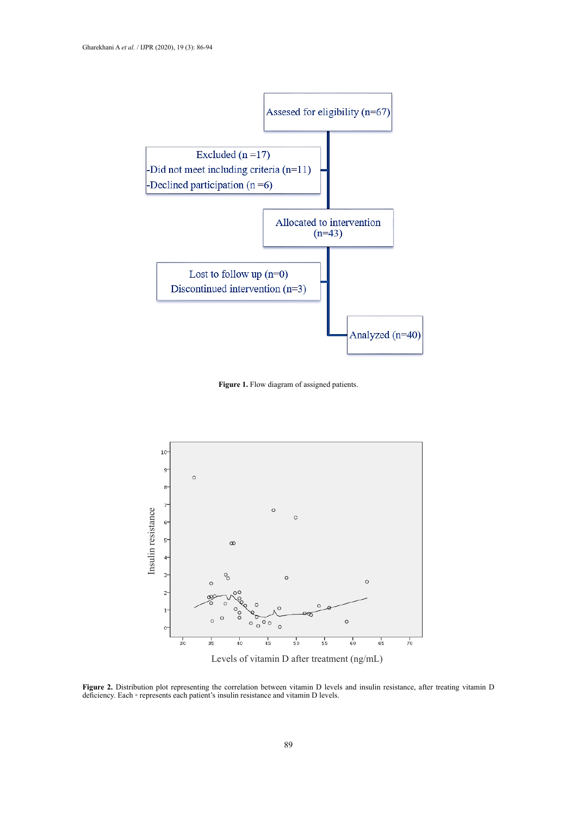

**Figure 1.** Flow diagram of assigned patients.



Levels of vitamin D after treatment (ng/mL)

Figure 2. Distribution plot representing the correlation between vitamin D levels and insulin resistance, after treating vitamin D deficiency. Each ◦ represents each patient's insulin resistance and vitamin D levels.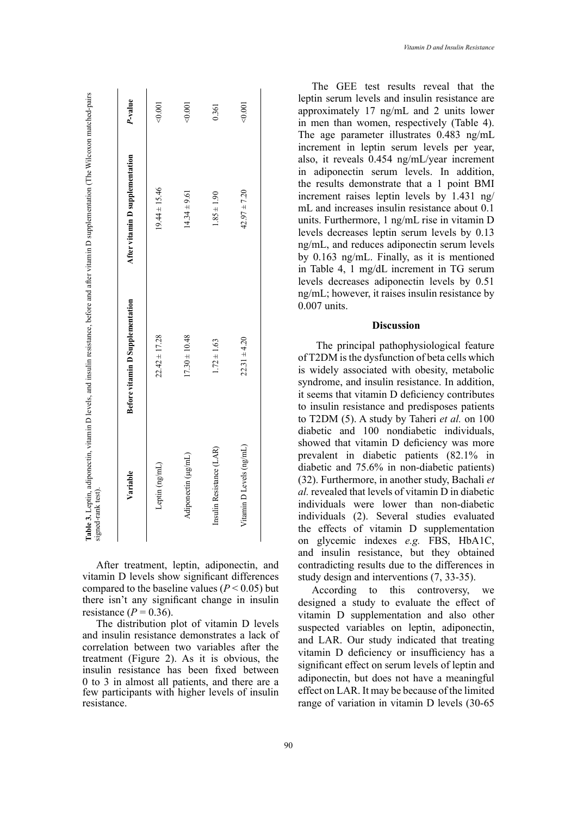| Variable                 | <b>Before vitamin D Supplementation</b> | After vitamin D supplementation | P-value |
|--------------------------|-----------------------------------------|---------------------------------|---------|
| Leptin (ng/mL)           | $22.42 \pm 17.28$                       | $19.44 \pm 15.46$               | < 0.001 |
| Adiponectin (µg/mL)      | $17.30 \pm 10.48$                       | $14.34 \pm 9.61$                | 0.001   |
| Insulin Resistance (LAR) | $1.72 \pm 1.63$                         | $1.85 \pm 1.90$                 | 0.361   |
| Vitamin D Levels (ng/mL) | $22.31 \pm 4.20$                        | $42.97 \pm 7.20$                | 0.001   |

After treatment, leptin, adiponectin, and vitamin D levels show significant differences compared to the baseline values  $(P < 0.05)$  but there isn't any significant change in insulin resistance  $(P = 0.36)$ .

The distribution plot of vitamin D levels and insulin resistance demonstrates a lack of correlation between two variables after the treatment (Figure 2). As it is obvious, the insulin resistance has been fixed between 0 to 3 in almost all patients, and there are a few participants with higher levels of insulin resistance.

The GEE test results reveal that the leptin serum levels and insulin resistance are approximately 17 ng/mL and 2 units lower in men than women, respectively (Table 4). The age parameter illustrates 0.483 ng/mL increment in leptin serum levels per year, also, it reveals 0.454 ng/mL/year increment in adiponectin serum levels. In addition, the results demonstrate that a 1 point BMI increment raises leptin levels by 1.431 ng/ mL and increases insulin resistance about 0.1 units. Furthermore, 1 ng/mL rise in vitamin D levels decreases leptin serum levels by 0.13 ng/mL, and reduces adiponectin serum levels by 0.163 ng/mL. Finally, as it is mentioned in Table 4, 1 mg/dL increment in TG serum levels decreases adiponectin levels by 0.51 ng/mL; however, it raises insulin resistance by 0.007 units.

# **Discussion**

The principal pathophysiological feature of T2DM is the dysfunction of beta cells which is widely associated with obesity, metabolic syndrome, and insulin resistance. In addition, it seems that vitamin D deficiency contributes to insulin resistance and predisposes patients to T2DM (5). A study by Taheri *et al.* on 100 diabetic and 100 nondiabetic individuals, showed that vitamin D deficiency was more prevalent in diabetic patients (82.1% in diabetic and 75.6% in non-diabetic patients) (32). Furthermore, in another study, Bachali *et al.* revealed that levels of vitamin D in diabetic individuals were lower than non-diabetic individuals (2). Several studies evaluated the effects of vitamin D supplementation on glycemic indexes *e.g.* FBS, HbA1C, and insulin resistance, but they obtained contradicting results due to the differences in study design and interventions (7, 33-35).

According to this controversy, we designed a study to evaluate the effect of vitamin D supplementation and also other suspected variables on leptin, adiponectin, and LAR. Our study indicated that treating vitamin D deficiency or insufficiency has a significant effect on serum levels of leptin and adiponectin, but does not have a meaningful effect on LAR. It may be because of the limited range of variation in vitamin D levels (30-65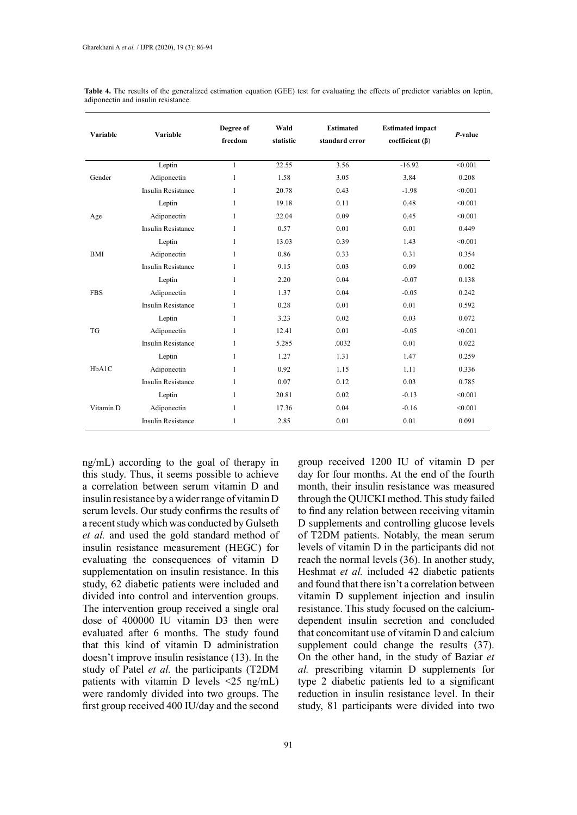| Variable   | Variable                  | Degree of<br>freedom | Wald<br>statistic | <b>Estimated</b><br>standard error | <b>Estimated impact</b><br>coefficient $(\beta)$ | $P$ -value |
|------------|---------------------------|----------------------|-------------------|------------------------------------|--------------------------------------------------|------------|
| Gender     | Leptin                    | $\mathbf{1}$         | 22.55             | 3.56                               | $-16.92$                                         | < 0.001    |
|            | Adiponectin               | 1                    | 1.58              | 3.05                               | 3.84                                             | 0.208      |
|            | <b>Insulin Resistance</b> | $\mathbf{1}$         | 20.78             | 0.43                               | $-1.98$                                          | < 0.001    |
| Age        | Leptin                    | 1                    | 19.18             | 0.11                               | 0.48                                             | < 0.001    |
|            | Adiponectin               | 1                    | 22.04             | 0.09                               | 0.45                                             | < 0.001    |
|            | <b>Insulin Resistance</b> | 1                    | 0.57              | 0.01                               | 0.01                                             | 0.449      |
| <b>BMI</b> | Leptin                    | 1                    | 13.03             | 0.39                               | 1.43                                             | < 0.001    |
|            | Adiponectin               | 1                    | 0.86              | 0.33                               | 0.31                                             | 0.354      |
|            | <b>Insulin Resistance</b> | $\mathbf{1}$         | 9.15              | 0.03                               | 0.09                                             | 0.002      |
| <b>FBS</b> | Leptin                    | 1                    | 2.20              | 0.04                               | $-0.07$                                          | 0.138      |
|            | Adiponectin               | 1                    | 1.37              | 0.04                               | $-0.05$                                          | 0.242      |
|            | <b>Insulin Resistance</b> | $\mathbf{1}$         | 0.28              | 0.01                               | 0.01                                             | 0.592      |
| TG         | Leptin                    | $\mathbf{1}$         | 3.23              | 0.02                               | 0.03                                             | 0.072      |
|            | Adiponectin               | $\mathbf{1}$         | 12.41             | 0.01                               | $-0.05$                                          | < 0.001    |
|            | <b>Insulin Resistance</b> | 1                    | 5.285             | .0032                              | 0.01                                             | 0.022      |
| HbA1C      | Leptin                    | 1                    | 1.27              | 1.31                               | 1.47                                             | 0.259      |
|            | Adiponectin               | $\mathbf{1}$         | 0.92              | 1.15                               | 1.11                                             | 0.336      |
|            | <b>Insulin Resistance</b> | 1                    | 0.07              | 0.12                               | 0.03                                             | 0.785      |
| Vitamin D  | Leptin                    | $\mathbf{1}$         | 20.81             | 0.02                               | $-0.13$                                          | < 0.001    |
|            | Adiponectin               | $\mathbf{1}$         | 17.36             | 0.04                               | $-0.16$                                          | < 0.001    |
|            | <b>Insulin Resistance</b> | 1                    | 2.85              | 0.01                               | 0.01                                             | 0.091      |

Table 4. The results of the generalized estimation equation (GEE) test for evaluating the effects of predictor variables on leptin, adiponectin and insulin resistance.

ng/mL) according to the goal of therapy in this study. Thus, it seems possible to achieve a correlation between serum vitamin D and insulin resistance by a wider range of vitamin D serum levels. Our study confirms the results of a recent study which was conducted by Gulseth *et al.* and used the gold standard method of insulin resistance measurement (HEGC) for evaluating the consequences of vitamin D supplementation on insulin resistance. In this study, 62 diabetic patients were included and divided into control and intervention groups. The intervention group received a single oral dose of 400000 IU vitamin D3 then were evaluated after 6 months. The study found that this kind of vitamin D administration doesn't improve insulin resistance (13). In the study of Patel *et al.* the participants (T2DM patients with vitamin D levels <25 ng/mL) were randomly divided into two groups. The first group received 400 IU/day and the second

group received 1200 IU of vitamin D per day for four months. At the end of the fourth month, their insulin resistance was measured through the QUICKI method. This study failed to find any relation between receiving vitamin D supplements and controlling glucose levels of T2DM patients. Notably, the mean serum levels of vitamin D in the participants did not reach the normal levels (36). In another study, Heshmat *et al.* included 42 diabetic patients and found that there isn't a correlation between vitamin D supplement injection and insulin resistance. This study focused on the calciumdependent insulin secretion and concluded that concomitant use of vitamin D and calcium supplement could change the results  $(37)$ . On the other hand, in the study of Baziar *et al.* prescribing vitamin D supplements for type 2 diabetic patients led to a significant reduction in insulin resistance level. In their study, 81 participants were divided into two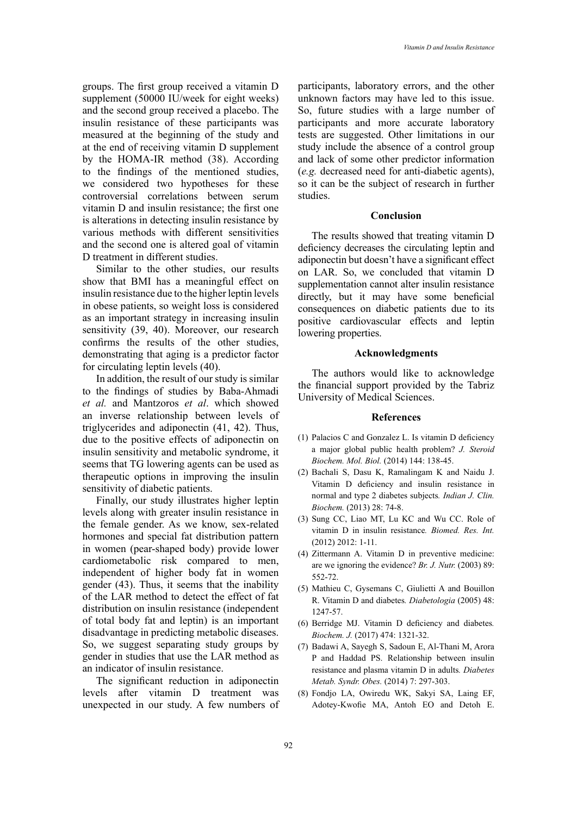groups. The first group received a vitamin D supplement (50000 IU/week for eight weeks) and the second group received a placebo. The insulin resistance of these participants was measured at the beginning of the study and at the end of receiving vitamin D supplement by the HOMA-IR method (38). According to the findings of the mentioned studies, we considered two hypotheses for these controversial correlations between serum vitamin D and insulin resistance; the first one is alterations in detecting insulin resistance by various methods with different sensitivities and the second one is altered goal of vitamin D treatment in different studies.

Similar to the other studies, our results show that BMI has a meaningful effect on insulin resistance due to the higher leptin levels in obese patients, so weight loss is considered as an important strategy in increasing insulin sensitivity (39, 40). Moreover, our research confirms the results of the other studies, demonstrating that aging is a predictor factor for circulating leptin levels (40).

In addition, the result of our study is similar to the findings of studies by Baba-Ahmadi *et al.* and Mantzoros *et al*. which showed an inverse relationship between levels of triglycerides and adiponectin (41, 42). Thus, due to the positive effects of adiponectin on insulin sensitivity and metabolic syndrome, it seems that TG lowering agents can be used as therapeutic options in improving the insulin sensitivity of diabetic patients.

Finally, our study illustrates higher leptin levels along with greater insulin resistance in the female gender. As we know, sex-related hormones and special fat distribution pattern in women (pear-shaped body) provide lower cardiometabolic risk compared to men, independent of higher body fat in women gender (43). Thus, it seems that the inability of the LAR method to detect the effect of fat distribution on insulin resistance (independent of total body fat and leptin) is an important disadvantage in predicting metabolic diseases. So, we suggest separating study groups by gender in studies that use the LAR method as an indicator of insulin resistance.

The significant reduction in adiponectin levels after vitamin D treatment was unexpected in our study. A few numbers of participants, laboratory errors, and the other unknown factors may have led to this issue. So, future studies with a large number of participants and more accurate laboratory tests are suggested. Other limitations in our study include the absence of a control group and lack of some other predictor information (*e.g.* decreased need for anti-diabetic agents), so it can be the subject of research in further studies.

# **Conclusion**

The results showed that treating vitamin D deficiency decreases the circulating leptin and adiponectin but doesn't have a significant effect on LAR. So, we concluded that vitamin D supplementation cannot alter insulin resistance directly, but it may have some beneficial consequences on diabetic patients due to its positive cardiovascular effects and leptin lowering properties.

#### **Acknowledgments**

The authors would like to acknowledge the financial support provided by the Tabriz University of Medical Sciences.

#### **References**

- (1) Palacios C and Gonzalez L. Is vitamin D deficiency a major global public health problem? *J. Steroid Biochem. Mol. Biol.* (2014) 144: 138-45.
- (2) Bachali S, Dasu K, Ramalingam K and Naidu J. Vitamin D deficiency and insulin resistance in normal and type 2 diabetes subjects*. Indian J. Clin. Biochem.* (2013) 28: 74-8.
- (3) Sung CC, Liao MT, Lu KC and Wu CC. Role of vitamin D in insulin resistance*. Biomed. Res. Int.* (2012) 2012: 1-11.
- (4) Zittermann A. Vitamin D in preventive medicine: are we ignoring the evidence? *Br. J. Nutr.* (2003) 89: 552-72.
- (5) Mathieu C, Gysemans C, Giulietti A and Bouillon R. Vitamin D and diabetes*. Diabetologia* (2005) 48: 1247-57.
- (6) Berridge MJ. Vitamin D deficiency and diabetes*. Biochem. J.* (2017) 474: 1321-32.
- (7) Badawi A, Sayegh S, Sadoun E, Al-Thani M, Arora P and Haddad PS. Relationship between insulin resistance and plasma vitamin D in adults*. Diabetes Metab. Syndr. Obes.* (2014) 7: 297-303.
- (8) Fondjo LA, Owiredu WK, Sakyi SA, Laing EF, Adotey-Kwofie MA, Antoh EO and Detoh E.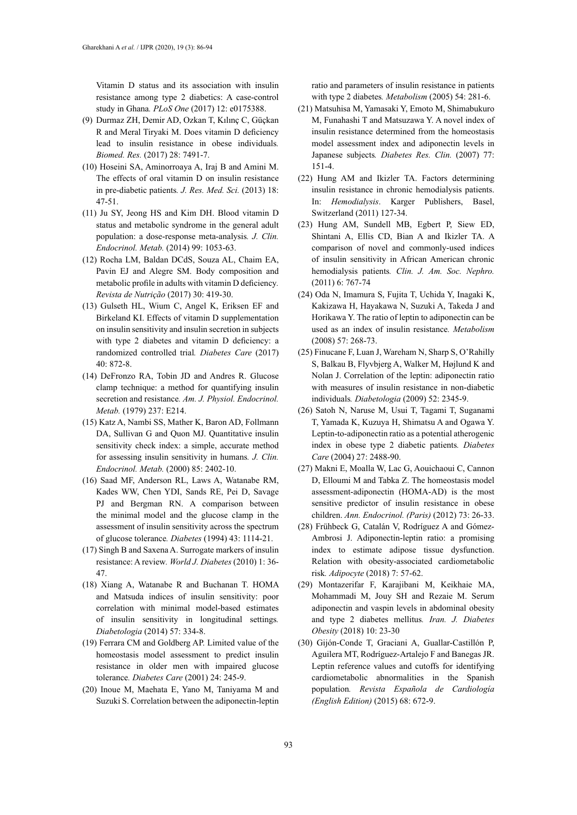Vitamin D status and its association with insulin resistance among type 2 diabetics: A case-control study in Ghana*. PLoS One* (2017) 12: e0175388.

- (9) Durmaz ZH, Demir AD, Ozkan T, Kılınç C, Güçkan R and Meral Tiryaki M. Does vitamin D deficiency lead to insulin resistance in obese individuals*. Biomed. Res.* (2017) 28: 7491-7.
- (10) Hoseini SA, Aminorroaya A, Iraj B and Amini M. The effects of oral vitamin D on insulin resistance in pre-diabetic patients*. J. Res. Med. Sci.* (2013) 18: 47-51.
- (11) Ju SY, Jeong HS and Kim DH. Blood vitamin D status and metabolic syndrome in the general adult population: a dose-response meta-analysis*. J. Clin. Endocrinol. Metab.* (2014) 99: 1053-63.
- (12) Rocha LM, Baldan DCdS, Souza AL, Chaim EA, Pavin EJ and Alegre SM. Body composition and metabolic profile in adults with vitamin D deficiency*. Revista de Nutrição* (2017) 30: 419-30.
- (13) Gulseth HL, Wium C, Angel K, Eriksen EF and Birkeland KI. Effects of vitamin D supplementation on insulin sensitivity and insulin secretion in subjects with type 2 diabetes and vitamin D deficiency: a randomized controlled trial*. Diabetes Care* (2017) 40: 872-8.
- (14) DeFronzo RA, Tobin JD and Andres R. Glucose clamp technique: a method for quantifying insulin secretion and resistance*. Am. J. Physiol. Endocrinol. Metab.* (1979) 237: E214.
- (15) Katz A, Nambi SS, Mather K, Baron AD, Follmann DA, Sullivan G and Quon MJ. Quantitative insulin sensitivity check index: a simple, accurate method for assessing insulin sensitivity in humans*. J. Clin. Endocrinol. Metab.* (2000) 85: 2402-10.
- (16) Saad MF, Anderson RL, Laws A, Watanabe RM, Kades WW, Chen YDI, Sands RE, Pei D, Savage PJ and Bergman RN. A comparison between the minimal model and the glucose clamp in the assessment of insulin sensitivity across the spectrum of glucose tolerance*. Diabetes* (1994) 43: 1114-21.
- (17) Singh B and Saxena A. Surrogate markers of insulin resistance: A review*. World J. Diabetes* (2010) 1: 36- 47.
- (18) Xiang A, Watanabe R and Buchanan T. HOMA and Matsuda indices of insulin sensitivity: poor correlation with minimal model-based estimates of insulin sensitivity in longitudinal settings*. Diabetologia* (2014) 57: 334-8.
- (19) Ferrara CM and Goldberg AP. Limited value of the homeostasis model assessment to predict insulin resistance in older men with impaired glucose tolerance*. Diabetes Care* (2001) 24: 245-9.
- (20) Inoue M, Maehata E, Yano M, Taniyama M and Suzuki S. Correlation between the adiponectin-leptin

ratio and parameters of insulin resistance in patients with type 2 diabetes*. Metabolism* (2005) 54: 281-6.

- (21) Matsuhisa M, Yamasaki Y, Emoto M, Shimabukuro M, Funahashi T and Matsuzawa Y. A novel index of insulin resistance determined from the homeostasis model assessment index and adiponectin levels in Japanese subjects*. Diabetes Res. Clin.* (2007) 77: 151-4.
- (22) Hung AM and Ikizler TA. Factors determining insulin resistance in chronic hemodialysis patients. In: *Hemodialysis*. Karger Publishers, Basel, Switzerland (2011) 127-34.
- (23) Hung AM, Sundell MB, Egbert P, Siew ED, Shintani A, Ellis CD, Bian A and Ikizler TA. A comparison of novel and commonly-used indices of insulin sensitivity in African American chronic hemodialysis patients*. Clin. J. Am. Soc. Nephro.* (2011) 6: 767-74
- (24) Oda N, Imamura S, Fujita T, Uchida Y, Inagaki K, Kakizawa H, Hayakawa N, Suzuki A, Takeda J and Horikawa Y. The ratio of leptin to adiponectin can be used as an index of insulin resistance*. Metabolism* (2008) 57: 268-73.
- (25) Finucane F, Luan J, Wareham N, Sharp S, O'Rahilly S, Balkau B, Flyvbjerg A, Walker M, Højlund K and Nolan J. Correlation of the leptin: adiponectin ratio with measures of insulin resistance in non-diabetic individuals*. Diabetologia* (2009) 52: 2345-9.
- (26) Satoh N, Naruse M, Usui T, Tagami T, Suganami T, Yamada K, Kuzuya H, Shimatsu A and Ogawa Y. Leptin-to-adiponectin ratio as a potential atherogenic index in obese type 2 diabetic patients*. Diabetes Care* (2004) 27: 2488-90.
- (27) Makni E, Moalla W, Lac G, Aouichaoui C, Cannon D, Elloumi M and Tabka Z. The homeostasis model assessment-adiponectin (HOMA-AD) is the most sensitive predictor of insulin resistance in obese children. *Ann. Endocrinol. (Paris)* (2012) 73: 26-33.
- (28) Frühbeck G, Catalán V, Rodríguez A and Gómez-Ambrosi J. Adiponectin-leptin ratio: a promising index to estimate adipose tissue dysfunction. Relation with obesity-associated cardiometabolic risk*. Adipocyte* (2018) 7: 57-62.
- (29) Montazerifar F, Karajibani M, Keikhaie MA, Mohammadi M, Jouy SH and Rezaie M. Serum adiponectin and vaspin levels in abdominal obesity and type 2 diabetes mellitus*. Iran. J. Diabetes Obesity* (2018) 10: 23-30
- (30) Gijón-Conde T, Graciani A, Guallar-Castillón P, Aguilera MT, Rodríguez-Artalejo F and Banegas JR. Leptin reference values and cutoffs for identifying cardiometabolic abnormalities in the Spanish population*. Revista Española de Cardiología (English Edition)* (2015) 68: 672-9.